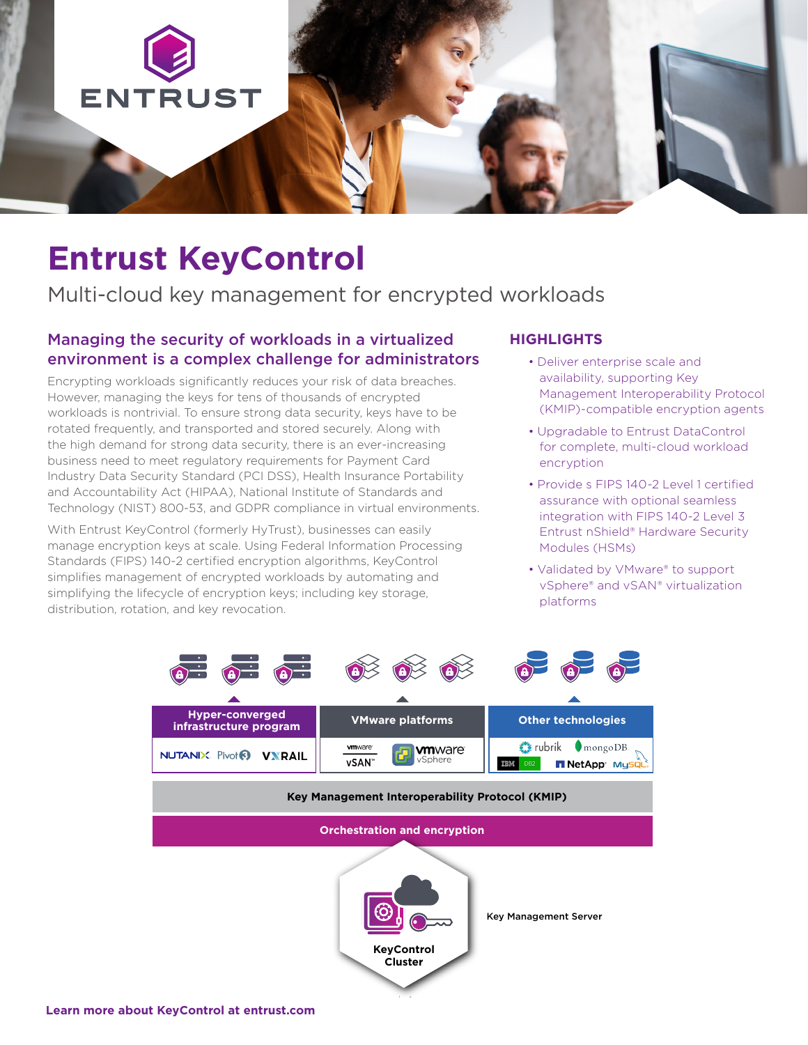

## **Entrust KeyControl**

Multi-cloud key management for encrypted workloads

### Managing the security of workloads in a virtualized environment is a complex challenge for administrators

Encrypting workloads significantly reduces your risk of data breaches. However, managing the keys for tens of thousands of encrypted workloads is nontrivial. To ensure strong data security, keys have to be rotated frequently, and transported and stored securely. Along with the high demand for strong data security, there is an ever-increasing business need to meet regulatory requirements for Payment Card Industry Data Security Standard (PCI DSS), Health Insurance Portability and Accountability Act (HIPAA), National Institute of Standards and Technology (NIST) 800-53, and GDPR compliance in virtual environments.

With Entrust KeyControl (formerly HyTrust), businesses can easily manage encryption keys at scale. Using Federal Information Processing Standards (FIPS) 140-2 certified encryption algorithms, KeyControl simplifies management of encrypted workloads by automating and simplifying the lifecycle of encryption keys; including key storage, distribution, rotation, and key revocation.

#### **HIGHLIGHTS**

- Deliver enterprise scale and availability, supporting Key Management Interoperability Protocol (KMIP)-compatible encryption agents
- Upgradable to Entrust DataControl for complete, multi-cloud workload encryption
- Provide s FIPS 140-2 Level 1 certified assurance with optional seamless integration with FIPS 140-2 Level 3 Entrust nShield® Hardware Security Modules (HSMs)
- Validated by VMware® to support vSphere® and vSAN® virtualization platforms

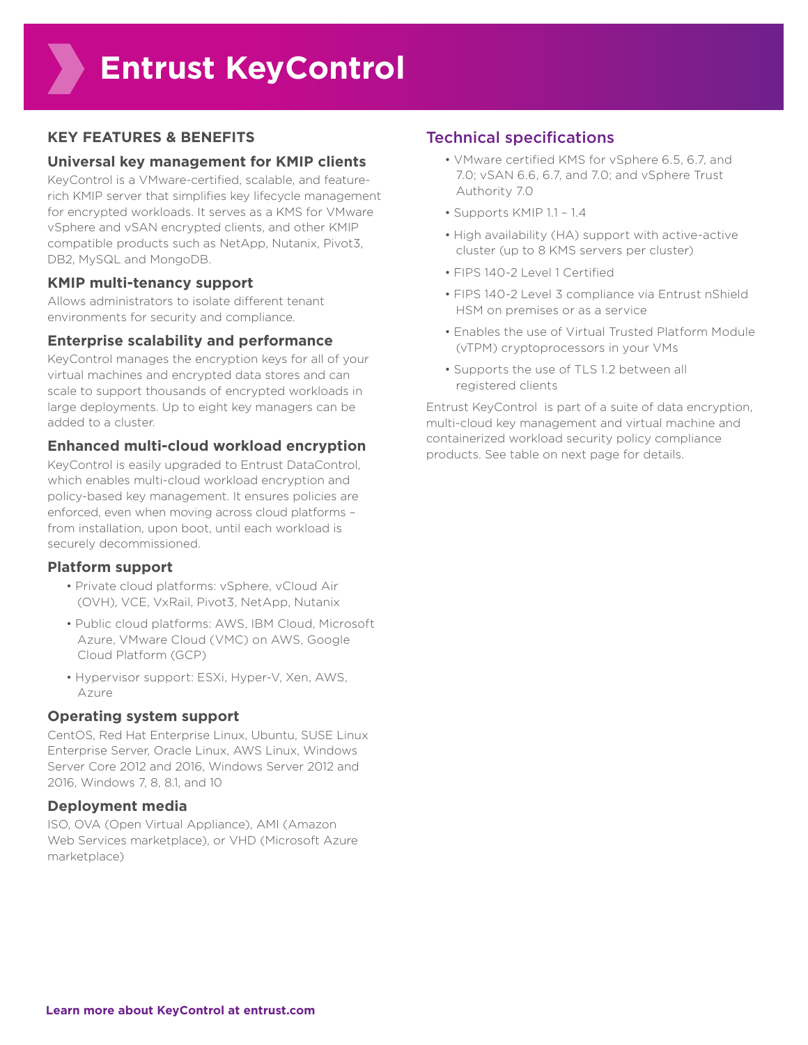#### **KEY FEATURES & BENEFITS**

#### **Universal key management for KMIP clients**

KeyControl is a VMware-certified, scalable, and featurerich KMIP server that simplifies key lifecycle management for encrypted workloads. It serves as a KMS for VMware vSphere and vSAN encrypted clients, and other KMIP compatible products such as NetApp, Nutanix, Pivot3, DB2, MySQL and MongoDB.

#### **KMIP multi-tenancy support**

Allows administrators to isolate different tenant environments for security and compliance.

#### **Enterprise scalability and performance**

KeyControl manages the encryption keys for all of your virtual machines and encrypted data stores and can scale to support thousands of encrypted workloads in large deployments. Up to eight key managers can be added to a cluster.

## **Enhanced multi-cloud workload encryption**

KeyControl is easily upgraded to Entrust DataControl, which enables multi-cloud workload encryption and policy-based key management. It ensures policies are enforced, even when moving across cloud platforms – from installation, upon boot, until each workload is securely decommissioned.

#### **Platform support**

- Private cloud platforms: vSphere, vCloud Air (OVH), VCE, VxRail, Pivot3, NetApp, Nutanix
- Public cloud platforms: AWS, IBM Cloud, Microsoft Azure, VMware Cloud (VMC) on AWS, Google Cloud Platform (GCP)
- Hypervisor support: ESXi, Hyper-V, Xen, AWS, Azure

### **Operating system support**

CentOS, Red Hat Enterprise Linux, Ubuntu, SUSE Linux Enterprise Server, Oracle Linux, AWS Linux, Windows Server Core 2012 and 2016, Windows Server 2012 and 2016, Windows 7, 8, 8.1, and 10

### **Deployment media**

ISO, OVA (Open Virtual Appliance), AMI (Amazon Web Services marketplace), or VHD (Microsoft Azure marketplace)

## Technical specifications

- VMware certified KMS for vSphere 6.5, 6.7, and 7.0; vSAN 6.6, 6.7, and 7.0; and vSphere Trust Authority 7.0
- Supports KMIP 1.1 1.4
- High availability (HA) support with active-active cluster (up to 8 KMS servers per cluster)
- FIPS 140-2 Level 1 Certified
- FIPS 140-2 Level 3 compliance via Entrust nShield HSM on premises or as a service
- Enables the use of Virtual Trusted Platform Module (vTPM) cryptoprocessors in your VMs
- Supports the use of TLS 1.2 between all registered clients

Entrust KeyControl is part of a suite of data encryption, multi-cloud key management and virtual machine and containerized workload security policy compliance products. See table on next page for details.